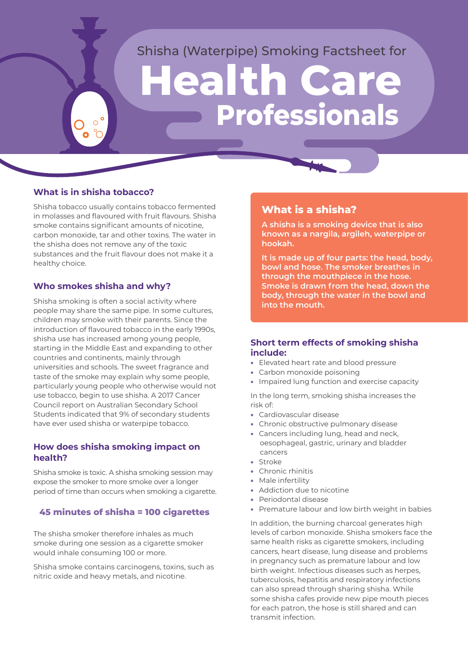# Shisha (Waterpipe) Smoking Factsheet for

# **Health Care Professionals**

#### **What is in shisha tobacco?**

Shisha tobacco usually contains tobacco fermented in molasses and flavoured with fruit flavours. Shisha smoke contains significant amounts of nicotine, carbon monoxide, tar and other toxins. The water in the shisha does not remove any of the toxic substances and the fruit flavour does not make it a healthy choice.

#### **Who smokes shisha and why?**

Shisha smoking is often a social activity where people may share the same pipe. In some cultures, children may smoke with their parents. Since the introduction of flavoured tobacco in the early 1990s, shisha use has increased among young people, starting in the Middle East and expanding to other countries and continents, mainly through universities and schools. The sweet fragrance and taste of the smoke may explain why some people, particularly young people who otherwise would not use tobacco, begin to use shisha. A 2017 Cancer Council report on Australian Secondary School Students indicated that 9% of secondary students have ever used shisha or waterpipe tobacco.

#### **How does shisha smoking impact on health?**

Shisha smoke is toxic. A shisha smoking session may expose the smoker to more smoke over a longer period of time than occurs when smoking a cigarette.

#### **45 minutes of shisha = 100 cigarettes**

The shisha smoker therefore inhales as much smoke during one session as a cigarette smoker would inhale consuming 100 or more.

Shisha smoke contains carcinogens, toxins, such as nitric oxide and heavy metals, and nicotine.

## **What is a shisha?**

**A shisha is a smoking device that is also known as a nargila, argileh, waterpipe or hookah.**

**It is made up of four parts: the head, body, bowl and hose. The smoker breathes in through the mouthpiece in the hose. Smoke is drawn from the head, down the body, through the water in the bowl and into the mouth.** 

#### **Short term effects of smoking shisha include:**

- Elevated heart rate and blood pressure
- Carbon monoxide poisoning
- Impaired lung function and exercise capacity

In the long term, smoking shisha increases the risk of:

- Cardiovascular disease
- Chronic obstructive pulmonary disease
- Cancers including lung, head and neck, oesophageal, gastric, urinary and bladder cancers
- Stroke
- Chronic rhinitis
- Male infertility
- Addiction due to nicotine
- Periodontal disease
- Premature labour and low birth weight in babies

In addition, the burning charcoal generates high levels of carbon monoxide. Shisha smokers face the same health risks as cigarette smokers, including cancers, heart disease, lung disease and problems in pregnancy such as premature labour and low birth weight. Infectious diseases such as herpes, tuberculosis, hepatitis and respiratory infections can also spread through sharing shisha. While some shisha cafes provide new pipe mouth pieces for each patron, the hose is still shared and can transmit infection.